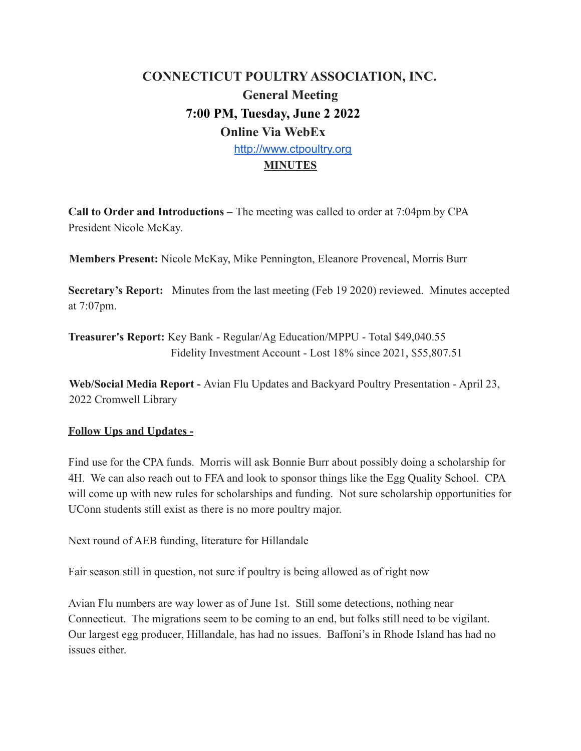## **CONNECTICUT POULTRY ASSOCIATION, INC. General Meeting 7:00 PM, Tuesday, June 2 2022 Online Via WebEx** <http://www.ctpoultry.org> **MINUTES**

**Call to Order and Introductions –** The meeting was called to order at 7:04pm by CPA President Nicole McKay.

**Members Present:** Nicole McKay, Mike Pennington, Eleanore Provencal, Morris Burr

**Secretary's Report:** Minutes from the last meeting (Feb 19 2020) reviewed. Minutes accepted at 7:07pm.

**Treasurer's Report:** Key Bank - Regular/Ag Education/MPPU - Total \$49,040.55 Fidelity Investment Account - Lost 18% since 2021, \$55,807.51

**Web/Social Media Report -** Avian Flu Updates and Backyard Poultry Presentation - April 23, 2022 Cromwell Library

## **Follow Ups and Updates -**

Find use for the CPA funds. Morris will ask Bonnie Burr about possibly doing a scholarship for 4H. We can also reach out to FFA and look to sponsor things like the Egg Quality School. CPA will come up with new rules for scholarships and funding. Not sure scholarship opportunities for UConn students still exist as there is no more poultry major.

Next round of AEB funding, literature for Hillandale

Fair season still in question, not sure if poultry is being allowed as of right now

Avian Flu numbers are way lower as of June 1st. Still some detections, nothing near Connecticut. The migrations seem to be coming to an end, but folks still need to be vigilant. Our largest egg producer, Hillandale, has had no issues. Baffoni's in Rhode Island has had no issues either.